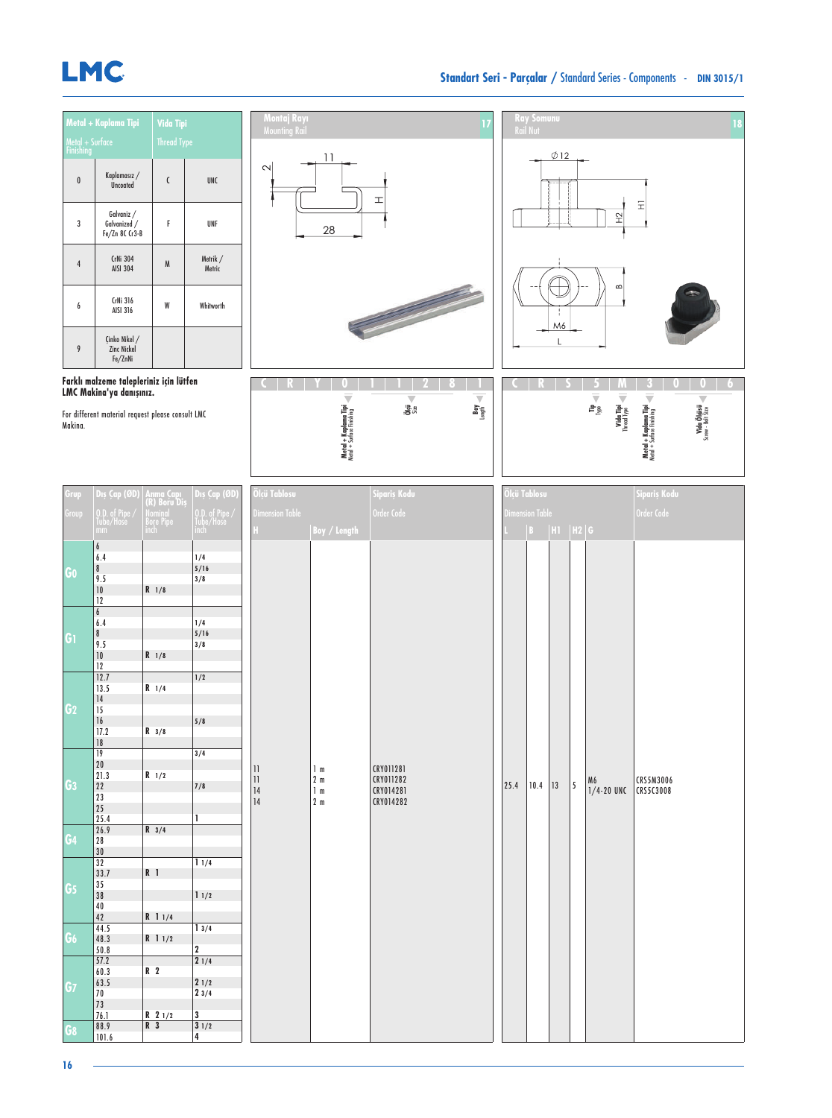# **LMC**

#### **Standart Seri - Parçalar /** Standard Series - Components - **DIN 3015/1**

| Metal + Kaplama Tipi<br>Vida Tipi<br>Metal + Surface<br>Finishing<br><b>Thread Type</b> |                                                                                                               | <br>  Montaj Rayı<br>  Mounting Rail<br>17                              |                                                     |                                                                                    |         |                                                                                                                                                         | <b>Ray Somunu</b><br>Rail Nut<br>18                                                                                         |                |                                              |                            |           |                                                                  |                                                                                       |  |  |  |  |  |
|-----------------------------------------------------------------------------------------|---------------------------------------------------------------------------------------------------------------|-------------------------------------------------------------------------|-----------------------------------------------------|------------------------------------------------------------------------------------|---------|---------------------------------------------------------------------------------------------------------------------------------------------------------|-----------------------------------------------------------------------------------------------------------------------------|----------------|----------------------------------------------|----------------------------|-----------|------------------------------------------------------------------|---------------------------------------------------------------------------------------|--|--|--|--|--|
| $\pmb{0}$                                                                               | Kaplamasız /<br><b>Uncoated</b>                                                                               | $\mathfrak c$                                                           | <b>UNC</b>                                          | $\sim$                                                                             | 11<br>I |                                                                                                                                                         |                                                                                                                             |                | $\emptyset$ 12                               |                            |           |                                                                  |                                                                                       |  |  |  |  |  |
| 3                                                                                       | Galvaniz /<br>Galvanized /<br>Fe/Zn 8C Cr3-B                                                                  | F                                                                       | <b>UNF</b>                                          |                                                                                    | 28      |                                                                                                                                                         |                                                                                                                             |                |                                              | $\Xi$<br>$\widetilde{\pm}$ |           |                                                                  |                                                                                       |  |  |  |  |  |
| $\overline{4}$                                                                          | <b>CrNi 304</b><br>AISI 304                                                                                   | ${\sf M}$                                                               | Metrik /<br>Metric                                  |                                                                                    |         |                                                                                                                                                         |                                                                                                                             |                |                                              |                            |           |                                                                  |                                                                                       |  |  |  |  |  |
| CrNi 316<br>W<br>Whitworth<br>6<br>AISI 316                                             |                                                                                                               |                                                                         |                                                     |                                                                                    |         | $\infty$<br>M6                                                                                                                                          |                                                                                                                             |                |                                              |                            |           |                                                                  |                                                                                       |  |  |  |  |  |
| 9                                                                                       | Çinko Nikel /<br>Zinc Nickel<br>Fe/ZnNi                                                                       |                                                                         |                                                     |                                                                                    |         |                                                                                                                                                         |                                                                                                                             | $\overline{1}$ |                                              |                            |           |                                                                  |                                                                                       |  |  |  |  |  |
|                                                                                         | Farklı malzeme talepleriniz için lütfen<br>LMC Makina'ya danışınız.                                           |                                                                         |                                                     |                                                                                    |         |                                                                                                                                                         | $\overline{\mathbf{v}}$                                                                                                     |                |                                              |                            |           |                                                                  |                                                                                       |  |  |  |  |  |
| Makina.                                                                                 | For different material request please consult LMC                                                             |                                                                         |                                                     |                                                                                    |         | $\begin{array}{l} \textbf{Metal + Kaplama Tipi} \\ \textbf{Metal + Surface Fnishing} \end{array} \begin{array}{c} \textbf{I} \\ \textbf{I} \end{array}$ | $\begin{array}{c}\n\mathbf{Boy} \\ \hline\n\mathbf{Im} \, \mathbf{g}^\text{th} \leftarrow\n\end{array}$<br>Öl <sub>öz</sub> |                |                                              |                            |           | $\mathbf{f}_{\text{p}}^{\text{max}}$<br>Vida Tipi<br>Thread Type | Metal + Kaplama Tipi<br>Metal + Surface Finishing<br>Vida Ölçüsü<br>Strew - Bolt Size |  |  |  |  |  |
| Grup<br>Group                                                                           | Dış Çap (ØD)<br>0.D. of Pipe /<br>Tube/Hose<br>$\mathop{\rm mm}\nolimits$                                     | <b>Anma Capi</b><br>(R) Boru <u>Diș</u><br>Nominal<br>Bore Pipe<br>inch | Dış Çap (ØD)<br>0.D. of Pipe /<br>Tube/Hose<br>inch | .<br>Ölçü Tablosu<br><b>Dimension Table</b>                                        |         | Boy / Length                                                                                                                                            | Sipari <u>ș Kodu</u><br>Order Code                                                                                          |                | Ölçü Tablosu<br><b>Dimension Table</b><br> B | H1 H2 G                    |           |                                                                  | Sipariș Kodu<br>Order Code                                                            |  |  |  |  |  |
| Go                                                                                      | $\boldsymbol{6}$<br>6.4<br>$\bf 8$<br>$9.5\,$<br>$\mathbf{10}$<br>$12\,$                                      | $R$ 1/8                                                                 | 1/4<br>5/16<br>3/8                                  |                                                                                    |         |                                                                                                                                                         |                                                                                                                             |                |                                              |                            |           |                                                                  |                                                                                       |  |  |  |  |  |
| G <sub>1</sub>                                                                          | $\overline{\mathbf{6}}$<br>$6.4\,$<br>$\bf 8$<br>9.5<br>${\bf 10}$<br>12                                      | $R$ 1/8                                                                 | 1/4<br>5/16<br>3/8                                  |                                                                                    |         |                                                                                                                                                         |                                                                                                                             |                |                                              |                            |           |                                                                  |                                                                                       |  |  |  |  |  |
| G <sub>2</sub>                                                                          | 12.7<br>13.5<br>$\frac{14}{15}$<br>${\bf 16}$<br>$17.2$                                                       | $R$ 1/4<br>$R \quad 3/8$                                                | 1/2<br>$5/8$                                        |                                                                                    |         |                                                                                                                                                         |                                                                                                                             |                |                                              |                            |           |                                                                  |                                                                                       |  |  |  |  |  |
| 63                                                                                      | $\begin{array}{c} 18 \end{array}$<br>$\overline{19}$<br>20<br>21.3<br>$\sqrt{22}$<br>23<br>${\bf 25}$<br>25.4 | $R$ 1/2                                                                 | 3/4<br>$7/8$<br>1                                   | 11<br>$\begin{array}{ c c } \hline 11 \\ \hline \end{array}$<br> 14<br>$\sqrt{14}$ |         | 1 <sub>m</sub><br>2 <sub>m</sub><br>1 <sub>m</sub><br>2 <sub>m</sub>                                                                                    | CRY011281<br>CRY011282<br>CRY014281<br>CRY014282                                                                            | 25.4           | $10.4$   13                                  |                            | $\vert$ 5 | M6<br>1/4-20 UNC CRS5C3008                                       | <b>CRS5M3006</b>                                                                      |  |  |  |  |  |
| G <sub>4</sub>                                                                          | 26.9<br>${\bf 28}$<br>30<br>$\overline{32}$                                                                   | $R \quad 3/4$                                                           | 11/4                                                |                                                                                    |         |                                                                                                                                                         |                                                                                                                             |                |                                              |                            |           |                                                                  |                                                                                       |  |  |  |  |  |
| G5                                                                                      | 33.7<br>$3\sqrt{5}$<br>$38\,$<br>$\begin{array}{c} 40 \\ 42 \end{array}$                                      | R <sub>1</sub>                                                          | 11/2                                                |                                                                                    |         |                                                                                                                                                         |                                                                                                                             |                |                                              |                            |           |                                                                  |                                                                                       |  |  |  |  |  |
| G6                                                                                      | 44.5<br>48.3<br>50.8                                                                                          | $R$ 1 1/4<br>$R$ 1 1/2                                                  | 13/4<br>$\overline{2}$                              |                                                                                    |         |                                                                                                                                                         |                                                                                                                             |                |                                              |                            |           |                                                                  |                                                                                       |  |  |  |  |  |
| G7                                                                                      | 57.2<br>60.3<br>63.5<br>$70\,$                                                                                | R <sub>2</sub>                                                          | 21/4<br>21/2<br>23/4                                |                                                                                    |         |                                                                                                                                                         |                                                                                                                             |                |                                              |                            |           |                                                                  |                                                                                       |  |  |  |  |  |
| G8                                                                                      | 73<br>76.1<br>88.9<br>101.6                                                                                   | $R$ 2 1/2<br>R <sub>3</sub>                                             | $\overline{\mathbf{3}}$<br>31/2<br>4                |                                                                                    |         |                                                                                                                                                         |                                                                                                                             |                |                                              |                            |           |                                                                  |                                                                                       |  |  |  |  |  |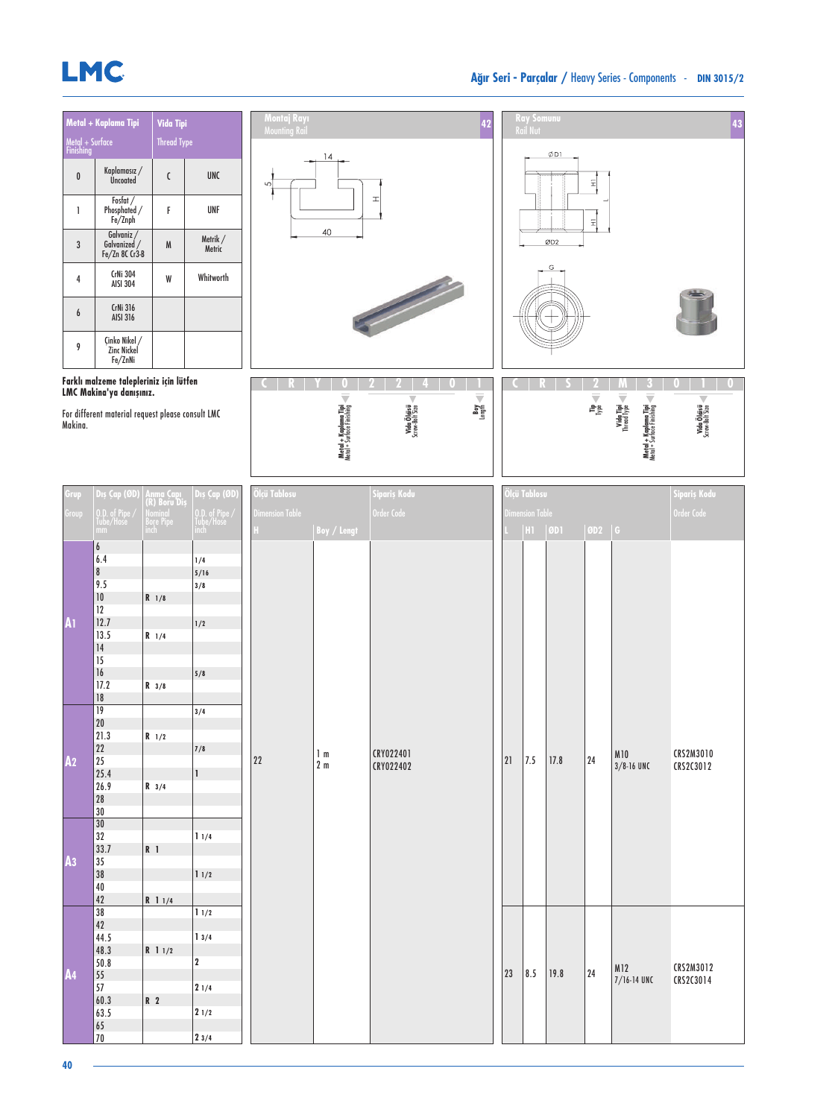# **LMC**

#### **Ağır Seri - Parçalar /** Heavy Series - Components - **DIN 3015/2**

**42 Aug Somono 43 Aug Somono 43** 

 $\overline{z}$ 

**Ray Son**<br>Rail Nut

 $ØD1$ 

| Metal + Surface<br>Finishing | Metal + Kaplama Tipi                         | <b>Vida Tipi</b><br><b>Thread Type</b> |                    |  |  |  |  |
|------------------------------|----------------------------------------------|----------------------------------------|--------------------|--|--|--|--|
| 0                            | Kaplamasız /<br>Uncoated                     | $\mathfrak{c}$                         | <b>UNC</b>         |  |  |  |  |
| 1                            | Fosfat /<br>Phosphated /<br>Fe/Znph          | F                                      | UNF                |  |  |  |  |
| 3                            | Galvaniz /<br>Galvanized /<br>Fe/Zn 8C Cr3-B | M                                      | Metrik /<br>Metric |  |  |  |  |
| 4                            | CrNi 304<br><b>AISI 304</b>                  | W                                      | Whitworth          |  |  |  |  |
| 6                            | <b>CrNi 316</b><br><b>AISI 316</b>           |                                        |                    |  |  |  |  |
| 9                            | Cinko Nikel /<br>Zinc Nickel<br>Fe/ZnNi      |                                        |                    |  |  |  |  |

**Farklı malzeme talepleriniz için lütfen LMC Makina'ya danışınız.** 

For different material request please consult LMC Makina.







**Metal + Kaplama Tipi**<br>Metal + Surface Finishing **Vida Ölçüsü** Screw-Bolt Size **Vida Tipi**<br>Thread Type

| Grup)                                            | Dış Çap (ØD) Anma Çapı<br>(R) Boru Diş                                                                                                                                                                                                         |                                                                                   | Dış Çap (ØD)                                                                   | Ölçü Tablosu           |                       | Sipariș Kodu           |    | Ölçü Tablosu           |            | Sipariș Kodu |                       |                        |  |  |
|--------------------------------------------------|------------------------------------------------------------------------------------------------------------------------------------------------------------------------------------------------------------------------------------------------|-----------------------------------------------------------------------------------|--------------------------------------------------------------------------------|------------------------|-----------------------|------------------------|----|------------------------|------------|--------------|-----------------------|------------------------|--|--|
| Group                                            | 0.D. of Pipe /<br>Tube/Hose                                                                                                                                                                                                                    |                                                                                   |                                                                                | <b>Dimension Table</b> |                       | Order Code             |    | <b>Dimension Table</b> | Order Code |              |                       |                        |  |  |
|                                                  | mm                                                                                                                                                                                                                                             | Nominal<br>Bore Pipe<br>inch                                                      | 0.D. of Pipe /<br>Tube/Hose<br>inch                                            | H.                     | Boy / Lengt           |                        |    | $ H1 $ 001             |            | ØD2   G      |                       |                        |  |  |
| $\mathbf{A}$<br>A <sub>2</sub><br>A <sub>3</sub> | 6<br>6.4<br>$\bf 8$<br>9.5<br>$10\,$<br>12<br>12.7<br>13.5<br>14<br>15<br>${\sf l6}$<br>17.2<br>$18\,$<br>19<br>$20\,$<br>21.3<br>22<br>25<br>25.4<br>26.9<br>$2\sqrt{8}$<br>$30\,$<br>$\overline{30}$<br>32<br>33.7<br>35<br>$38\,$<br>$40\,$ | $R$ 1/8<br>$R$ 1/4<br>$R \quad 3/8$<br>$R$ 1/2<br>$R \quad 3/4$<br>R <sub>1</sub> | 1/4<br>5/16<br>3/8<br>1/2<br>5/8<br>3/4<br>7/8<br>$\mathbf{I}$<br>11/4<br>11/2 | 22                     | 1 m<br>2 <sub>m</sub> | CRY022401<br>CRY022402 | 21 | 7.5                    | 17.8       | 24           | M10<br>$3/8 - 16$ UNC | CRS2M3010<br>CRS2C3012 |  |  |
|                                                  | $42\,$<br>38                                                                                                                                                                                                                                   | $R$ 1 1/4                                                                         | 11/2                                                                           |                        |                       |                        |    |                        |            |              |                       |                        |  |  |
|                                                  | $42\,$                                                                                                                                                                                                                                         |                                                                                   |                                                                                |                        |                       |                        |    |                        |            |              |                       |                        |  |  |
|                                                  | 44.5                                                                                                                                                                                                                                           |                                                                                   | 13/4                                                                           |                        |                       |                        |    |                        |            |              |                       |                        |  |  |
|                                                  | 48.3                                                                                                                                                                                                                                           | $R$ 1 1/2                                                                         |                                                                                |                        |                       |                        |    |                        |            |              |                       |                        |  |  |
|                                                  | 50.8                                                                                                                                                                                                                                           |                                                                                   | $\mathbf{2}$                                                                   |                        |                       |                        |    |                        |            |              | M12                   | CRS2M3012              |  |  |
| <b>A4</b>                                        | 55                                                                                                                                                                                                                                             |                                                                                   |                                                                                |                        |                       |                        | 23 | 8.5                    | 19.8       | 24           | 7/16-14 UNC           | CRS2C3014              |  |  |
|                                                  | 57                                                                                                                                                                                                                                             |                                                                                   | 21/4                                                                           |                        |                       |                        |    |                        |            |              |                       |                        |  |  |
|                                                  | 60.3                                                                                                                                                                                                                                           | R <sub>2</sub>                                                                    |                                                                                |                        |                       |                        |    |                        |            |              |                       |                        |  |  |
|                                                  | 63.5                                                                                                                                                                                                                                           |                                                                                   | 21/2                                                                           |                        |                       |                        |    |                        |            |              |                       |                        |  |  |
|                                                  | $65\,$                                                                                                                                                                                                                                         |                                                                                   |                                                                                |                        |                       |                        |    |                        |            |              |                       |                        |  |  |
|                                                  | 70                                                                                                                                                                                                                                             |                                                                                   | 23/4                                                                           |                        |                       |                        |    |                        |            |              |                       |                        |  |  |